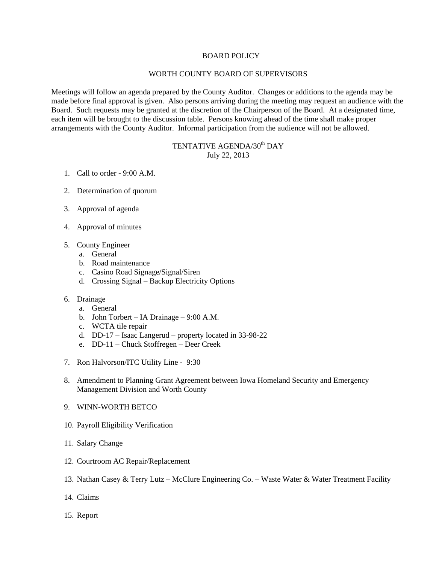## BOARD POLICY

## WORTH COUNTY BOARD OF SUPERVISORS

Meetings will follow an agenda prepared by the County Auditor. Changes or additions to the agenda may be made before final approval is given. Also persons arriving during the meeting may request an audience with the Board. Such requests may be granted at the discretion of the Chairperson of the Board. At a designated time, each item will be brought to the discussion table. Persons knowing ahead of the time shall make proper arrangements with the County Auditor. Informal participation from the audience will not be allowed.

## TENTATIVE AGENDA/30<sup>th</sup> DAY July 22, 2013

- 1. Call to order 9:00 A.M.
- 2. Determination of quorum
- 3. Approval of agenda
- 4. Approval of minutes
- 5. County Engineer
	- a. General
	- b. Road maintenance
	- c. Casino Road Signage/Signal/Siren
	- d. Crossing Signal Backup Electricity Options
- 6. Drainage
	- a. General
	- b. John Torbert IA Drainage 9:00 A.M.
	- c. WCTA tile repair
	- d. DD-17 Isaac Langerud property located in 33-98-22
	- e. DD-11 Chuck Stoffregen Deer Creek
- 7. Ron Halvorson/ITC Utility Line 9:30
- 8. Amendment to Planning Grant Agreement between Iowa Homeland Security and Emergency Management Division and Worth County
- 9. WINN-WORTH BETCO
- 10. Payroll Eligibility Verification
- 11. Salary Change
- 12. Courtroom AC Repair/Replacement
- 13. Nathan Casey & Terry Lutz McClure Engineering Co. Waste Water & Water Treatment Facility
- 14. Claims
- 15. Report